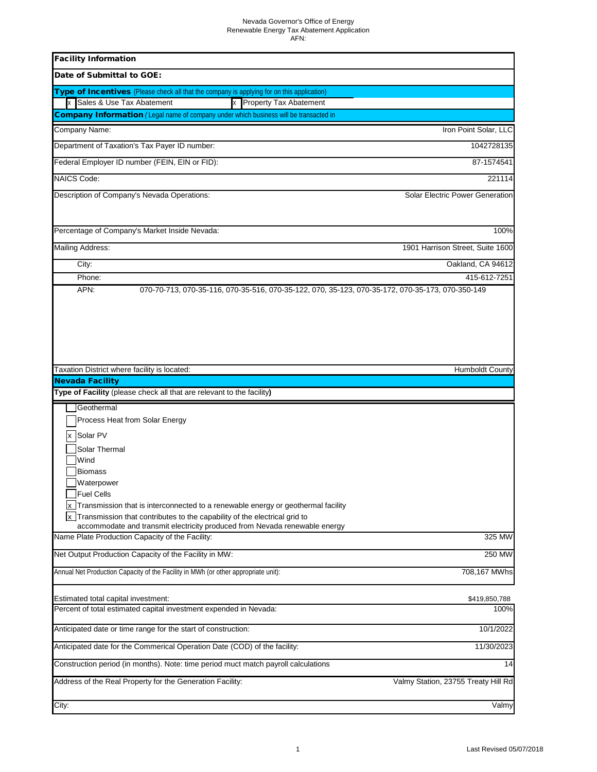| <b>Facility Information</b>                                                                                                                                                                                                                                                                                                                                                                  |                                        |
|----------------------------------------------------------------------------------------------------------------------------------------------------------------------------------------------------------------------------------------------------------------------------------------------------------------------------------------------------------------------------------------------|----------------------------------------|
| Date of Submittal to GOE:                                                                                                                                                                                                                                                                                                                                                                    |                                        |
| Type of Incentives (Please check all that the company is applying for on this application)                                                                                                                                                                                                                                                                                                   |                                        |
| Sales & Use Tax Abatement<br>x Property Tax Abatement                                                                                                                                                                                                                                                                                                                                        |                                        |
| <b>Company Information</b> (Legal name of company under which business will be transacted in                                                                                                                                                                                                                                                                                                 |                                        |
| <b>Company Name:</b>                                                                                                                                                                                                                                                                                                                                                                         | Iron Point Solar, LLC                  |
| Department of Taxation's Tax Payer ID number:                                                                                                                                                                                                                                                                                                                                                | 1042728135                             |
| Federal Employer ID number (FEIN, EIN or FID):                                                                                                                                                                                                                                                                                                                                               | 87-1574541                             |
| <b>NAICS Code:</b>                                                                                                                                                                                                                                                                                                                                                                           | 221114                                 |
| Description of Company's Nevada Operations:                                                                                                                                                                                                                                                                                                                                                  | <b>Solar Electric Power Generation</b> |
| Percentage of Company's Market Inside Nevada:                                                                                                                                                                                                                                                                                                                                                | 100%                                   |
| Mailing Address:                                                                                                                                                                                                                                                                                                                                                                             | 1901 Harrison Street, Suite 1600       |
| City:                                                                                                                                                                                                                                                                                                                                                                                        | Oakland, CA 94612                      |
| Phone:                                                                                                                                                                                                                                                                                                                                                                                       | 415-612-7251                           |
|                                                                                                                                                                                                                                                                                                                                                                                              |                                        |
| Taxation District where facility is located:                                                                                                                                                                                                                                                                                                                                                 | <b>Humboldt County</b>                 |
| <b>Nevada Facility</b><br>Type of Facility (please check all that are relevant to the facility)                                                                                                                                                                                                                                                                                              |                                        |
| Geothermal<br>Process Heat from Solar Energy<br>Solar PV<br><b>Solar Thermal</b><br>Wind<br><b>Biomass</b><br>Waterpower<br><b>Fuel Cells</b><br>Transmission that is interconnected to a renewable energy or geothermal facility<br>Transmission that contributes to the capability of the electrical grid to<br>accommodate and transmit electricity produced from Nevada renewable energy |                                        |
| Name Plate Production Capacity of the Facility:                                                                                                                                                                                                                                                                                                                                              | 325 MW                                 |
| Net Output Production Capacity of the Facility in MW:                                                                                                                                                                                                                                                                                                                                        | 250 MW                                 |
| Annual Net Production Capacity of the Facility in MWh (or other appropriate unit):                                                                                                                                                                                                                                                                                                           | 708,167 MWhs                           |
| Estimated total capital investment:<br>Percent of total estimated capital investment expended in Nevada:                                                                                                                                                                                                                                                                                     | \$419,850,788<br>100%                  |
| Anticipated date or time range for the start of construction:                                                                                                                                                                                                                                                                                                                                | 10/1/2022                              |
| Anticipated date for the Commerical Operation Date (COD) of the facility:                                                                                                                                                                                                                                                                                                                    | 11/30/2023                             |
| Construction period (in months). Note: time period muct match payroll calculations                                                                                                                                                                                                                                                                                                           | 14                                     |
| Address of the Real Property for the Generation Facility:                                                                                                                                                                                                                                                                                                                                    | Valmy Station, 23755 Treaty Hill Rd    |
| City:                                                                                                                                                                                                                                                                                                                                                                                        | Valmy                                  |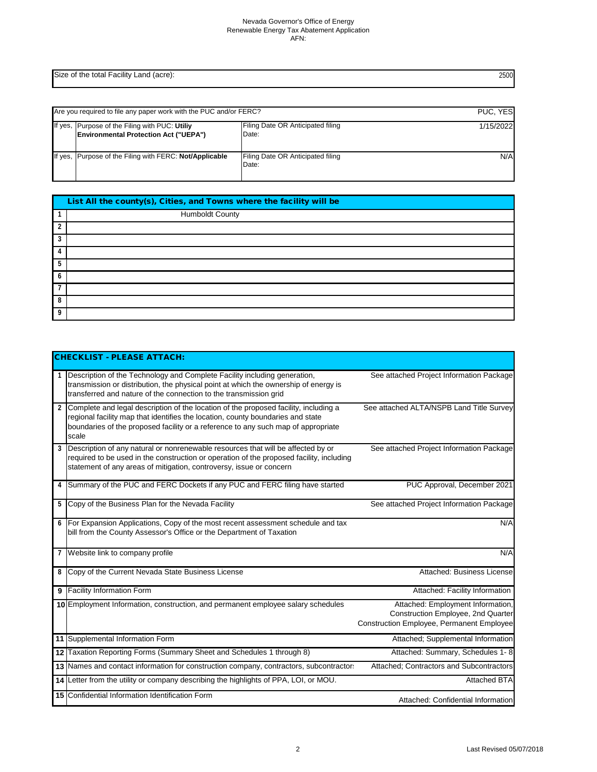Size of the total Facility Land (acre):

| Are you required to file any paper work with the PUC and/or FERC?                              |                                            | PUC, YES  |
|------------------------------------------------------------------------------------------------|--------------------------------------------|-----------|
| If yes, Purpose of the Filing with PUC: Utiliy<br><b>Environmental Protection Act ("UEPA")</b> | Filing Date OR Anticipated filing<br>Date: | 1/15/2022 |
| If yes, Purpose of the Filing with FERC: Not/Applicable                                        | Filing Date OR Anticipated filing<br>Date: | N/A       |

|                | List All the county(s), Cities, and Towns where the facility will be |  |  |  |  |
|----------------|----------------------------------------------------------------------|--|--|--|--|
|                | <b>Humboldt County</b>                                               |  |  |  |  |
| $\overline{2}$ |                                                                      |  |  |  |  |
| 3              |                                                                      |  |  |  |  |
| 4              |                                                                      |  |  |  |  |
| 5              |                                                                      |  |  |  |  |
| $\mathbf b$    |                                                                      |  |  |  |  |
| $\mathbf{z}$   |                                                                      |  |  |  |  |
| 8              |                                                                      |  |  |  |  |
| Q              |                                                                      |  |  |  |  |

|   | <b>CHECKLIST - PLEASE ATTACH:</b>                                                                                                                                                                                                                                     |                                                                                                                                    |
|---|-----------------------------------------------------------------------------------------------------------------------------------------------------------------------------------------------------------------------------------------------------------------------|------------------------------------------------------------------------------------------------------------------------------------|
|   | Description of the Technology and Complete Facility including generation,<br>transmission or distribution, the physical point at which the ownership of energy is<br>transferred and nature of the connection to the transmission grid                                | See attached Project Information Package                                                                                           |
|   | Complete and legal description of the location of the proposed facility, including a<br>regional facility map that identifies the location, county boundaries and state<br>boundaries of the proposed facility or a reference to any such map of appropriate<br>scale | See attached ALTA/NSPB Land Title Survey                                                                                           |
|   | Description of any natural or nonrenewable resources that will be affected by or<br>required to be used in the construction or operation of the proposed facility, including<br>statement of any areas of mitigation, controversy, issue or concern                   | See attached Project Information Package                                                                                           |
| 4 | Summary of the PUC and FERC Dockets if any PUC and FERC filing have started                                                                                                                                                                                           | PUC Approval, December 2021                                                                                                        |
| 5 | Copy of the Business Plan for the Nevada Facility                                                                                                                                                                                                                     | See attached Project Information Package                                                                                           |
| 6 | For Expansion Applications, Copy of the most recent assessment schedule and tax<br>bill from the County Assessor's Office or the Department of Taxation                                                                                                               | N/A                                                                                                                                |
| 7 | Website link to company profile                                                                                                                                                                                                                                       | N/A                                                                                                                                |
| 8 | Copy of the Current Nevada State Business License                                                                                                                                                                                                                     | <b>Attached: Business License</b>                                                                                                  |
| 9 | <b>Facility Information Form</b>                                                                                                                                                                                                                                      | Attached: Facility Information                                                                                                     |
|   | 10 Employment Information, construction, and permanent employee salary schedules                                                                                                                                                                                      | Attached: Employment Information,<br><b>Construction Employee, 2nd Quarter</b><br><b>Construction Employee, Permanent Employee</b> |
|   | 11 Supplemental Information Form                                                                                                                                                                                                                                      | Attached; Supplemental Information                                                                                                 |
|   | 12 Taxation Reporting Forms (Summary Sheet and Schedules 1 through 8)                                                                                                                                                                                                 | Attached: Summary, Schedules 1-8                                                                                                   |
|   | 13 Names and contact information for construction company, contractors, subcontractors                                                                                                                                                                                | Attached; Contractors and Subcontractors                                                                                           |
|   | 14 Letter from the utility or company describing the highlights of PPA, LOI, or MOU.                                                                                                                                                                                  | <b>Attached BTA</b>                                                                                                                |
|   | 15 Confidential Information Identification Form                                                                                                                                                                                                                       | Attached: Confidential Information                                                                                                 |

2500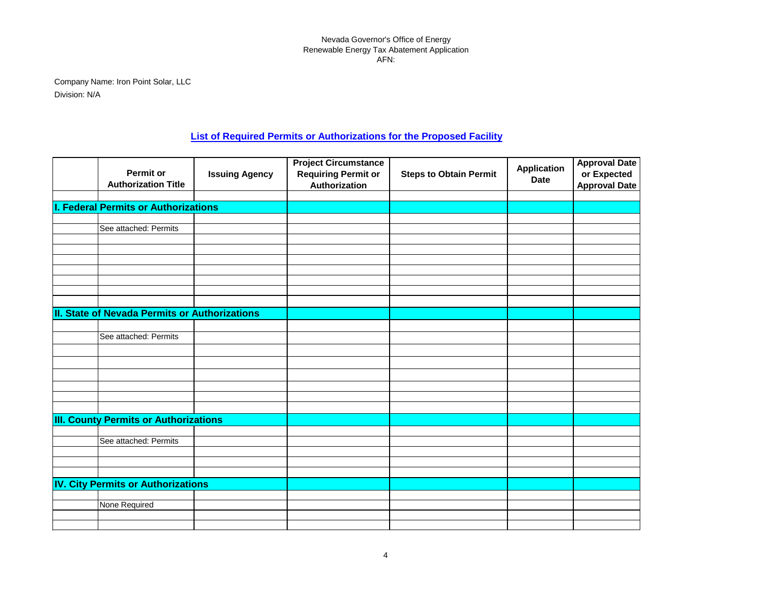Company Name: Iron Point Solar, LLC Division: N/A

## **List of Required Permits or Authorizations for the Proposed Facility**

| <b>Permit or</b><br><b>Authorization Title</b> | <b>Issuing Agency</b> | <b>Project Circumstance</b><br><b>Requiring Permit or</b><br>Authorization | <b>Steps to Obtain Permit</b> | <b>Application</b><br><b>Date</b> | <b>Approval Date</b><br>or Expected<br><b>Approval Date</b> |
|------------------------------------------------|-----------------------|----------------------------------------------------------------------------|-------------------------------|-----------------------------------|-------------------------------------------------------------|
|                                                |                       |                                                                            |                               |                                   |                                                             |
| I. Federal Permits or Authorizations           |                       |                                                                            |                               |                                   |                                                             |
| See attached: Permits                          |                       |                                                                            |                               |                                   |                                                             |
|                                                |                       |                                                                            |                               |                                   |                                                             |
|                                                |                       |                                                                            |                               |                                   |                                                             |
|                                                |                       |                                                                            |                               |                                   |                                                             |
|                                                |                       |                                                                            |                               |                                   |                                                             |
|                                                |                       |                                                                            |                               |                                   |                                                             |
|                                                |                       |                                                                            |                               |                                   |                                                             |
|                                                |                       |                                                                            |                               |                                   |                                                             |
| II. State of Nevada Permits or Authorizations  |                       |                                                                            |                               |                                   |                                                             |
|                                                |                       |                                                                            |                               |                                   |                                                             |
| See attached: Permits                          |                       |                                                                            |                               |                                   |                                                             |
|                                                |                       |                                                                            |                               |                                   |                                                             |
|                                                |                       |                                                                            |                               |                                   |                                                             |
|                                                |                       |                                                                            |                               |                                   |                                                             |
|                                                |                       |                                                                            |                               |                                   |                                                             |
|                                                |                       |                                                                            |                               |                                   |                                                             |
|                                                |                       |                                                                            |                               |                                   |                                                             |
| <b>III. County Permits or Authorizations</b>   |                       |                                                                            |                               |                                   |                                                             |
|                                                |                       |                                                                            |                               |                                   |                                                             |
| See attached: Permits                          |                       |                                                                            |                               |                                   |                                                             |
|                                                |                       |                                                                            |                               |                                   |                                                             |
|                                                |                       |                                                                            |                               |                                   |                                                             |
|                                                |                       |                                                                            |                               |                                   |                                                             |
| <b>IV. City Permits or Authorizations</b>      |                       |                                                                            |                               |                                   |                                                             |
| None Required                                  |                       |                                                                            |                               |                                   |                                                             |
|                                                |                       |                                                                            |                               |                                   |                                                             |
|                                                |                       |                                                                            |                               |                                   |                                                             |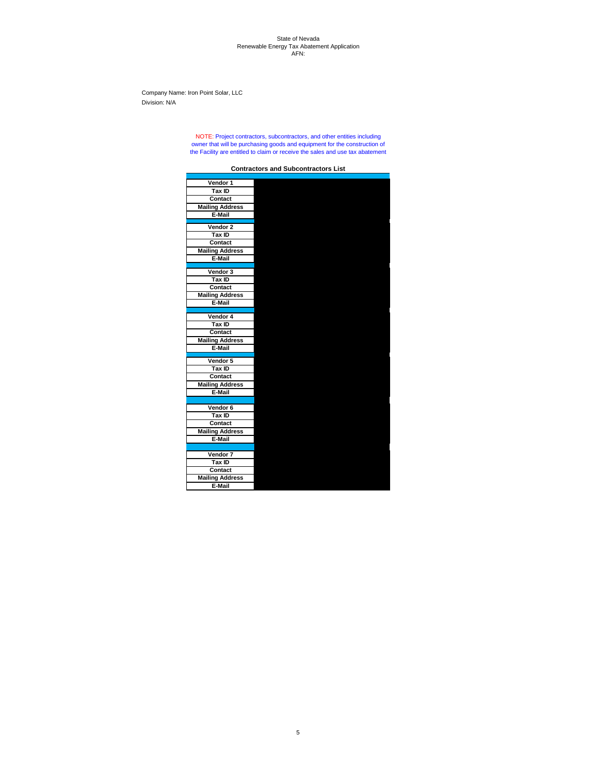#### State of Nevada Renewable Energy Tax Abatement Application AFN:

Company Name: Iron Point Solar, LLC Division: N/A

## **Vendor 1 Tax ID Contact Mailing Address E-Mail Vendor 2 Tax ID Contact Mailing Address E-Mail Vendor 3 Tax ID Contact Mailing Address E-Mail Vendor 4 Tax ID Contact Mailing Address E-Mail Vendor 5 Tax ID Contact Mailing Address E-Mail Vendor 6 Tax ID Contact Mailing Address E-Mail Vendor 7 Tax ID Contact Mailing Address**

**E-Mail**

**Contractors and Subcontractors List**

NOTE: Project contractors, subcontractors, and other entities including owner that will be purchasing goods and equipment for the construction of the Facility are entitled to claim or receive the sales and use tax abatement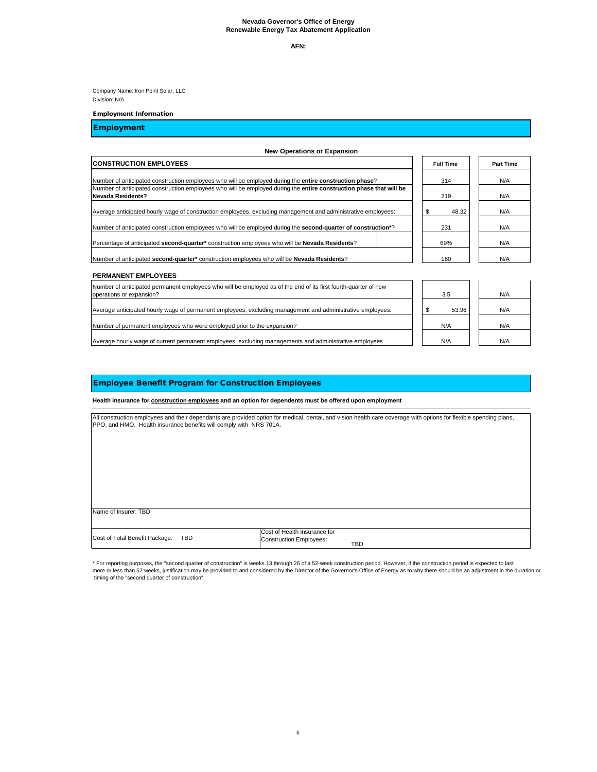**AFN:** 

Company Name: Iron Point Solar, LLC Division: N/A

#### Employment Information

\* For reporting purposes, the "second quarter of construction" is weeks 13 through 26 of a 52-week construction period. However, if the construction period is expected to last more or less than 52 weeks, justification may be provided to and considered by the Director of the Governor's Office of Energy as to why there should be an adjustment in the duration or timing of the "second quarter of construction".

Average hourly wage of current permanent employees, excluding managements and administrative employees

## Employment

## Employee Benefit Program for Construction Employees

### **New Operations or Expansion**

| <b>CONSTRUCTION EMPLOYEES</b>                                                                                                                   |     | <b>Full Time</b> |  | <b>Part Time</b> |
|-------------------------------------------------------------------------------------------------------------------------------------------------|-----|------------------|--|------------------|
| Number of anticipated construction employees who will be employed during the <b>entire construction phase</b> ?                                 |     | 314              |  | N/A              |
| Number of anticipated construction employees who will be employed during the entire construction phase that will be<br><b>Nevada Residents?</b> |     | 219              |  | N/A              |
| Average anticipated hourly wage of construction employees, excluding management and administrative employees:                                   | \$  | 48.32            |  | N/A              |
| Number of anticipated construction employees who will be employed during the <b>second-quarter of construction</b> <sup>*?</sup>                | 231 |                  |  | N/A              |
| Percentage of anticipated second-quarter* construction employees who will be Nevada Residents?                                                  | 69% |                  |  | N/A              |
| Number of anticipated second-quarter* construction employees who will be Nevada Residents?                                                      |     | 160              |  | N/A              |
| <b>PERMANENT EMPLOYEES</b>                                                                                                                      |     |                  |  |                  |
| Number of anticipated permanent employees who will be employed as of the end of its first fourth-quarter of new<br>operations or expansion?     |     | 3.5              |  | N/A              |
| Average anticipated hourly wage of permanent employees, excluding management and administrative employees:                                      | \$  | 53.96            |  | N/A              |
| Number of permanent employees who were employed prior to the expansion?                                                                         |     | N/A              |  | N/A              |

 $N/A$   $N/A$ 

All construction employees and their dependants are provided option for medical, dental, and vision health care coverage with options for flexible spending plans, PPO, and HMO. Health insurance benefits will comply with NRS 701A.

**Health insurance for construction employees and an option for dependents must be offered upon employment**

| Name of Insurer: TBD               |                                       |
|------------------------------------|---------------------------------------|
|                                    |                                       |
|                                    | Cost of Health Insurance for          |
| Cost of Total Benefit Package: TBD | Construction Employees:<br><b>TBD</b> |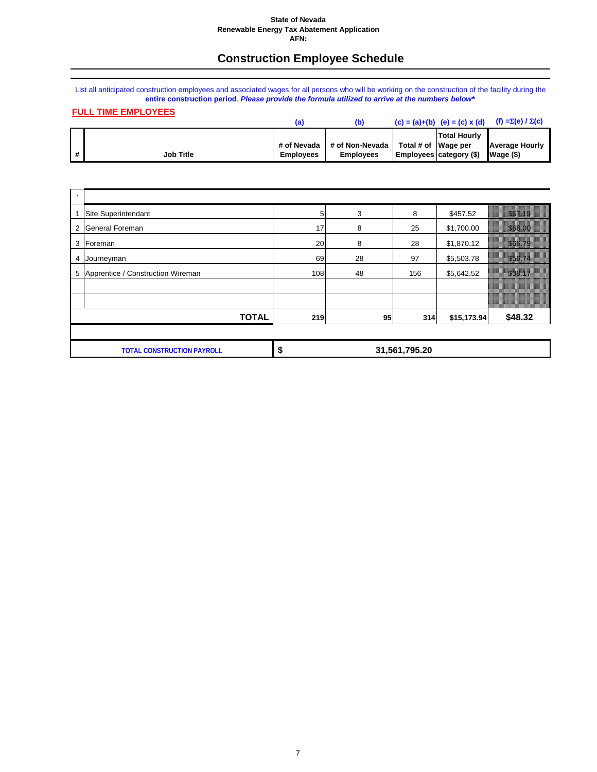#### **State of Nevada Renewable Energy Tax Abatement Application AFN:**

## **Construction Employee Schedule**

List all anticipated construction employees and associated wages for all persons who will be working on the construction of the facility during the **entire construction period**. *Please provide the formula utilized to arrive at the numbers below\**

## **FULL TIME EMPLOYEES**

|              |                  |                  |                  |                                     | $(c) = (a)+(b)$ $(e) = (c) x (d)$ | (f) = $\Sigma(e) / \Sigma(c)$ |
|--------------|------------------|------------------|------------------|-------------------------------------|-----------------------------------|-------------------------------|
|              |                  |                  |                  |                                     | <b>Total Hourly</b>               |                               |
|              |                  | # of Nevada      | # of Non-Nevada  | $\vert$ Total # of $\vert$ Wage per |                                   | <b>Average Hourly</b>         |
| $\mathbf{H}$ | <b>Job Title</b> | <b>Employees</b> | <b>Employees</b> |                                     | <b>Employees category (\$)</b>    | Wage(S)                       |

| $\cdot$ |                                     |                |    |           |             |               |
|---------|-------------------------------------|----------------|----|-----------|-------------|---------------|
|         | Site Superintendant                 | 5 <sub>l</sub> | 3  | 8         | \$457.52    | 35T 19        |
|         | 2 General Foreman                   | 17             | 8  | 25        | \$1,700.00  | <b>S68 00</b> |
| 3       | Foreman                             | 20             | 8  | 28        | \$1,870.12  | 566.79        |
| 4       | Journeyman                          | 69             | 28 | 97        | \$5,503.78  | <b>SSC 74</b> |
|         | 5 Apprentice / Construction Wireman | 108            | 48 | 156       | \$5,642.52  | 536 V         |
|         |                                     |                |    |           |             |               |
|         |                                     |                |    |           |             |               |
|         | <b>TOTAL</b>                        | 219            |    | 95<br>314 | \$15,173.94 | \$48.32       |
|         |                                     |                |    |           |             |               |

| ו וסי $\cdot$<br>a )NS<br>. ERHC<br>IΔI<br>'N | - 17 | 31,561,795.20 |
|-----------------------------------------------|------|---------------|
|                                               |      |               |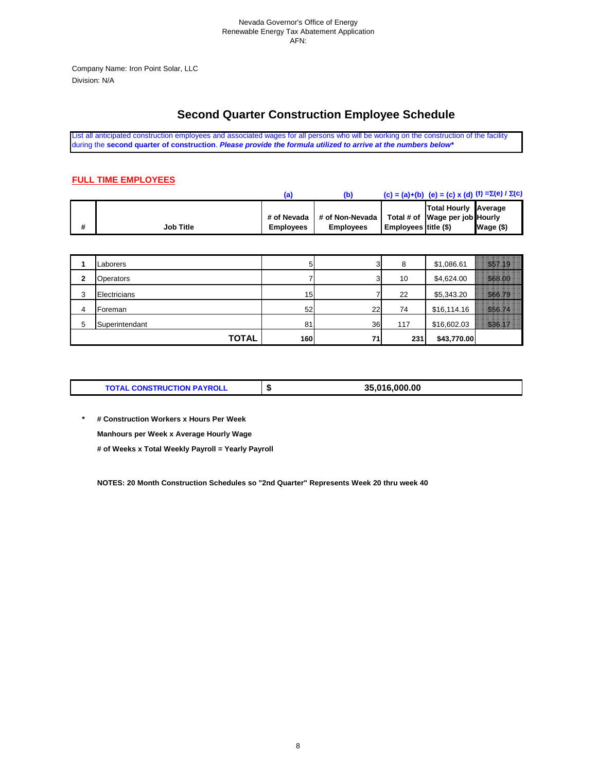Company Name: Iron Point Solar, LLC Division: N/A

## **Second Quarter Construction Employee Schedule**

List all anticipated construction employees and associated wages for all persons who will be working on the construction of the facility during the **second quarter of construction**. *Please provide the formula utilized to arrive at the numbers below\**

## **FULL TIME EMPLOYEES**

|   |                  |                  |                  |                      | (c) = (a)+(b) (e) = (c) x (d) (f) = $\Sigma$ (e) / $\Sigma$ (c) |             |
|---|------------------|------------------|------------------|----------------------|-----------------------------------------------------------------|-------------|
|   |                  | # of Nevada      | # of Non-Nevada  |                      | <b>Total Hourly Average</b><br>Total # of Wage per job Hourly   |             |
| # | <b>Job Title</b> | <b>Employees</b> | <b>Employees</b> | Employees title (\$) |                                                                 | $Wage$ (\$) |

|   | Laborers       | 5   | r  | 8   | \$1,086.61  | \$57.19 |
|---|----------------|-----|----|-----|-------------|---------|
| 2 | Operators      |     |    | 10  | \$4,624.00  | \$68.00 |
| 3 | Electricians   | 15  |    | 22  | \$5,343.20  | \$66.79 |
| 4 | lForeman       | 52  | 22 | 74  | \$16,114.16 | \$56.74 |
| 5 | Superintendant | 81  | 36 | 117 | \$16,602.03 | S36 17  |
|   | <b>TOTAL</b>   | 160 | 71 | 231 | \$43,770.00 |         |

|  | <b>TOTAL CONSTRUCTION PAYROLL</b> |  | 35,016,000.00 |
|--|-----------------------------------|--|---------------|
|--|-----------------------------------|--|---------------|

**\* # Construction Workers x Hours Per Week Manhours per Week x Average Hourly Wage # of Weeks x Total Weekly Payroll = Yearly Payroll**

**NOTES: 20 Month Construction Schedules so "2nd Quarter" Represents Week 20 thru week 40**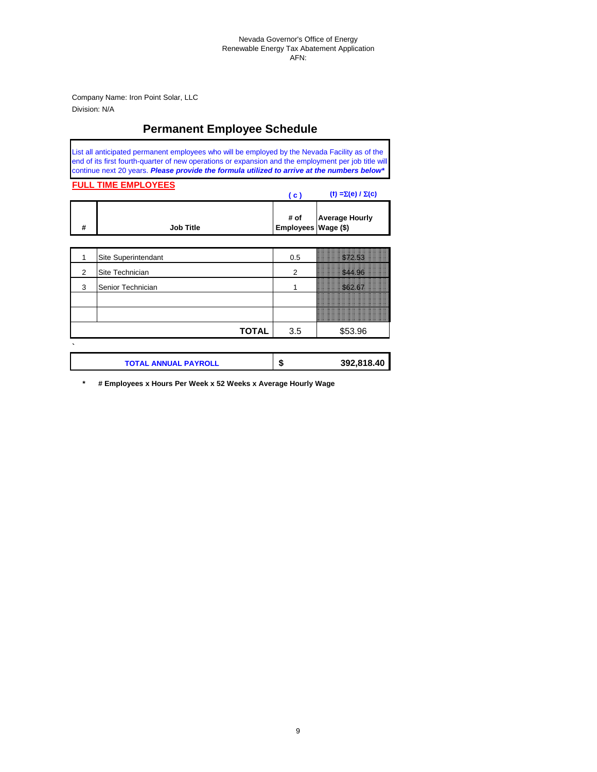Company Name: Iron Point Solar, LLC Division: N/A

## **Permanent Employee Schedule**

List all anticipated permanent employees who will be employed by the Nevada Facility as of the end of its first fourth-quarter of new operations or expansion and the employment per job title will continue next 20 years. *Please provide the formula utilized to arrive at the numbers below\**

### **FULL TIME EMPLOYEES**

|                  | <b>C</b> | (f) = $\Sigma(e) / \Sigma(c)$                |
|------------------|----------|----------------------------------------------|
| <b>Job Title</b> |          | # of Average Hourly<br>  Employees Wage (\$) |

|   | Site Superintendant | 0.5 | 57. ST                                                                                                              |
|---|---------------------|-----|---------------------------------------------------------------------------------------------------------------------|
| 2 | Site Technician     |     | \$44.96                                                                                                             |
| 3 | Senior Technician   |     | <b>S62.67</b>                                                                                                       |
|   |                     |     | <u> 2000 - Jan Barnett, mars ar gwerdd yr American a gan y cyfyddol a gan y gan y gan y gan y gan y gan y gan y</u> |
|   |                     |     |                                                                                                                     |
|   | <b>TOTAL</b>        | 3.5 | \$53.96                                                                                                             |
|   |                     |     |                                                                                                                     |

| <b>TOTAL ANNUAL PAYROLL</b> | мD | 392,818.40 |
|-----------------------------|----|------------|
|                             |    |            |

**\* # Employees x Hours Per Week x 52 Weeks x Average Hourly Wage**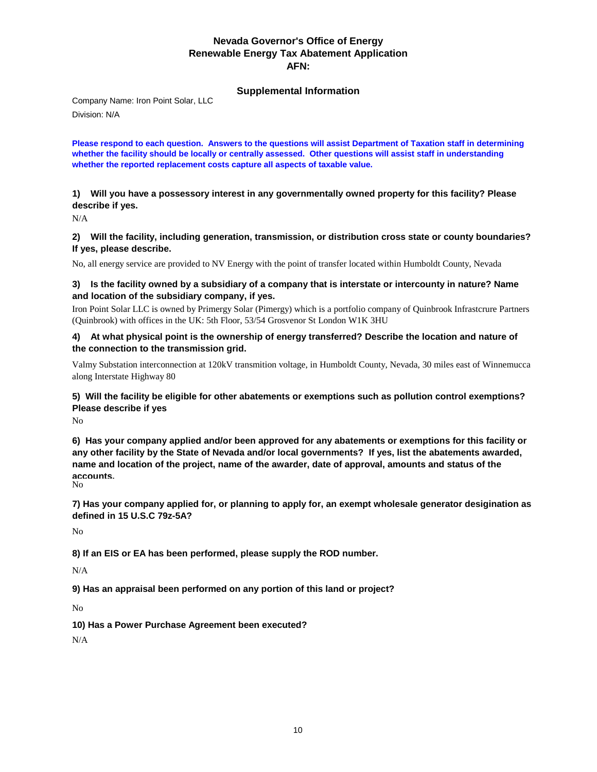## **Supplemental Information**

Company Name: Iron Point Solar, LLC Division: N/A

**Please respond to each question. Answers to the questions will assist Department of Taxation staff in determining whether the facility should be locally or centrally assessed. Other questions will assist staff in understanding whether the reported replacement costs capture all aspects of taxable value.** 

**1) Will you have a possessory interest in any governmentally owned property for this facility? Please describe if yes.** 

N/A

**2) Will the facility, including generation, transmission, or distribution cross state or county boundaries? If yes, please describe.** 

No, all energy service are provided to NV Energy with the point of transfer located within Humboldt County, Nevada

### **3) Is the facility owned by a subsidiary of a company that is interstate or intercounty in nature? Name and location of the subsidiary company, if yes.**

Iron Point Solar LLC is owned by Primergy Solar (Pimergy) which is a portfolio company of Quinbrook Infrastcrure Partners (Quinbrook) with offices in the UK: 5th Floor, 53/54 Grosvenor St London W1K 3HU

#### **4) At what physical point is the ownership of energy transferred? Describe the location and nature of the connection to the transmission grid.**

Valmy Substation interconnection at 120kV transmition voltage, in Humboldt County, Nevada, 30 miles east of Winnemucca along Interstate Highway 80

## **5) Will the facility be eligible for other abatements or exemptions such as pollution control exemptions? Please describe if yes**

No

No **6) Has your company applied and/or been approved for any abatements or exemptions for this facility or any other facility by the State of Nevada and/or local governments? If yes, list the abatements awarded, name and location of the project, name of the awarder, date of approval, amounts and status of the accounts.**

**7) Has your company applied for, or planning to apply for, an exempt wholesale generator desigination as defined in 15 U.S.C 79z-5A?**

No

**8) If an EIS or EA has been performed, please supply the ROD number.** 

N/A

**9) Has an appraisal been performed on any portion of this land or project?** 

No

**10) Has a Power Purchase Agreement been executed?** 

N/A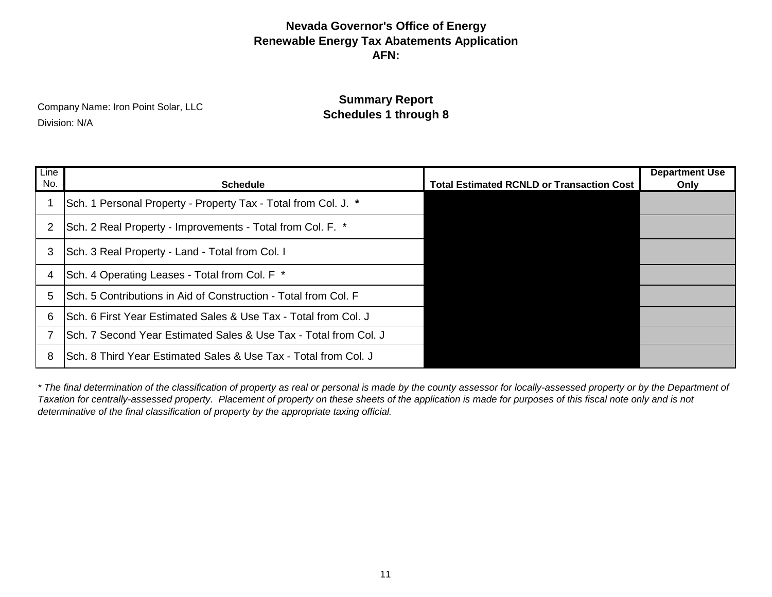**Schedules 1 through 8** Company Name: Iron Point Solar, LLC<br> **Schedules 1 through 8** Division: N/A

**Summary Report**

| Line<br>No. | <b>Schedule</b>                                                   | <b>Total Estimated RCNLD or Transaction Cost</b> | <b>Department Use</b><br>Only |
|-------------|-------------------------------------------------------------------|--------------------------------------------------|-------------------------------|
|             | Sch. 1 Personal Property - Property Tax - Total from Col. J. *    |                                                  |                               |
| 2           | Sch. 2 Real Property - Improvements - Total from Col. F. *        |                                                  |                               |
| 3           | Sch. 3 Real Property - Land - Total from Col. I                   |                                                  |                               |
| 4           | Sch. 4 Operating Leases - Total from Col. F *                     |                                                  |                               |
| 5           | ISch. 5 Contributions in Aid of Construction - Total from Col. F  |                                                  |                               |
| 6           | Sch. 6 First Year Estimated Sales & Use Tax - Total from Col. J   |                                                  |                               |
|             | ISch. 7 Second Year Estimated Sales & Use Tax - Total from Col. J |                                                  |                               |
| 8           | ISch. 8 Third Year Estimated Sales & Use Tax - Total from Col. J  |                                                  |                               |

*\* The final determination of the classification of property as real or personal is made by the county assessor for locally-assessed property or by the Department of Taxation for centrally-assessed property. Placement of property on these sheets of the application is made for purposes of this fiscal note only and is not determinative of the final classification of property by the appropriate taxing official.*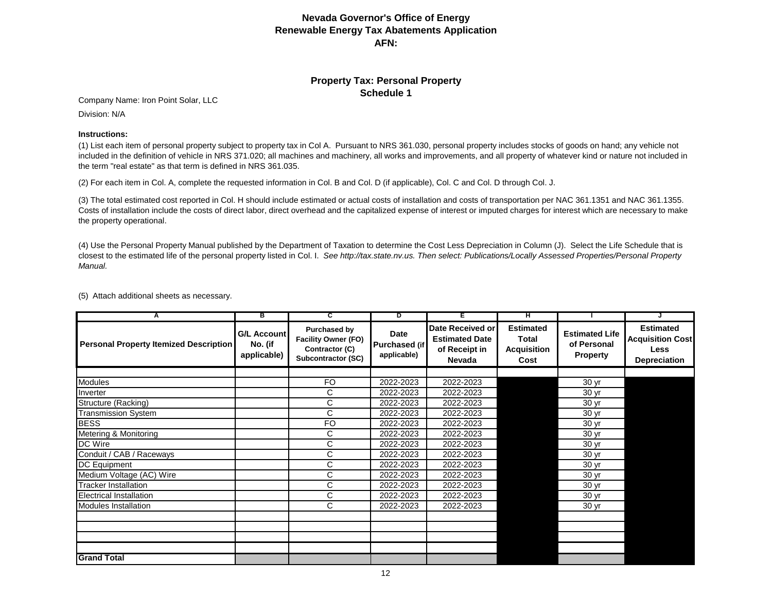## **Property Tax: Personal Property Schedule 1**

Company Name: Iron Point Solar, LLC

Division: N/A

#### **Instructions:**

(1) List each item of personal property subject to property tax in Col A. Pursuant to NRS 361.030, personal property includes stocks of goods on hand; any vehicle not included in the definition of vehicle in NRS 371.020; all machines and machinery, all works and improvements, and all property of whatever kind or nature not included in the term "real estate" as that term is defined in NRS 361.035.

(2) For each item in Col. A, complete the requested information in Col. B and Col. D (if applicable), Col. C and Col. D through Col. J.

(3) The total estimated cost reported in Col. H should include estimated or actual costs of installation and costs of transportation per NAC 361.1351 and NAC 361.1355. Costs of installation include the costs of direct labor, direct overhead and the capitalized expense of interest or imputed charges for interest which are necessary to make the property operational.

(4) Use the Personal Property Manual published by the Department of Taxation to determine the Cost Less Depreciation in Column (J). Select the Life Schedule that is closest to the estimated life of the personal property listed in Col. I. *See http://tax.state.nv.us. Then select: Publications/Locally Assessed Properties/Personal Property Manual.*

| A                                             | в                                            | C                                                                                         | D                                           | F.                                                                   | н                                                              |                                                         |                                                                                   |
|-----------------------------------------------|----------------------------------------------|-------------------------------------------------------------------------------------------|---------------------------------------------|----------------------------------------------------------------------|----------------------------------------------------------------|---------------------------------------------------------|-----------------------------------------------------------------------------------|
| <b>Personal Property Itemized Description</b> | <b>G/L Account</b><br>No. (if<br>applicable) | <b>Purchased by</b><br><b>Facility Owner (FO)</b><br>Contractor (C)<br>Subcontractor (SC) | Date<br><b>Purchased (if</b><br>applicable) | Date Received or<br><b>Estimated Date</b><br>of Receipt in<br>Nevada | <b>Estimated</b><br><b>Total</b><br><b>Acquisition</b><br>Cost | <b>Estimated Life</b><br>of Personal<br><b>Property</b> | <b>Estimated</b><br><b>Acquisition Cost</b><br><b>Less</b><br><b>Depreciation</b> |
|                                               |                                              |                                                                                           |                                             |                                                                      |                                                                |                                                         |                                                                                   |
| Modules                                       |                                              | <b>FO</b>                                                                                 | 2022-2023                                   | 2022-2023                                                            |                                                                | 30 yr                                                   |                                                                                   |
| Inverter                                      |                                              | C                                                                                         | 2022-2023                                   | 2022-2023                                                            |                                                                | 30 yr                                                   |                                                                                   |
| Structure (Racking)                           |                                              | C                                                                                         | 2022-2023                                   | 2022-2023                                                            |                                                                | 30 yr                                                   |                                                                                   |
| <b>Transmission System</b>                    |                                              | $\mathsf{C}$                                                                              | 2022-2023                                   | 2022-2023                                                            |                                                                | 30 yr                                                   |                                                                                   |
| <b>BESS</b>                                   |                                              | <b>FO</b>                                                                                 | 2022-2023                                   | 2022-2023                                                            |                                                                | 30 yr                                                   |                                                                                   |
| Metering & Monitoring                         |                                              | C                                                                                         | 2022-2023                                   | 2022-2023                                                            |                                                                | 30 yr                                                   |                                                                                   |
| DC Wire                                       |                                              | C                                                                                         | 2022-2023                                   | 2022-2023                                                            |                                                                | 30 yr                                                   |                                                                                   |
| Conduit / CAB / Raceways                      |                                              | C                                                                                         | 2022-2023                                   | 2022-2023                                                            |                                                                | 30 yr                                                   |                                                                                   |
| <b>DC Equipment</b>                           |                                              | C                                                                                         | 2022-2023                                   | 2022-2023                                                            |                                                                | 30 yr                                                   |                                                                                   |
| Medium Voltage (AC) Wire                      |                                              | C                                                                                         | 2022-2023                                   | 2022-2023                                                            |                                                                | 30 yr                                                   |                                                                                   |
| <b>Tracker Installation</b>                   |                                              | C                                                                                         | 2022-2023                                   | 2022-2023                                                            |                                                                | 30 yr                                                   |                                                                                   |
| <b>Electrical Installation</b>                |                                              | C                                                                                         | 2022-2023                                   | 2022-2023                                                            |                                                                | 30 yr                                                   |                                                                                   |
| Modules Installation                          |                                              | C                                                                                         | 2022-2023                                   | 2022-2023                                                            |                                                                | 30 yr                                                   |                                                                                   |
|                                               |                                              |                                                                                           |                                             |                                                                      |                                                                |                                                         |                                                                                   |
|                                               |                                              |                                                                                           |                                             |                                                                      |                                                                |                                                         |                                                                                   |
|                                               |                                              |                                                                                           |                                             |                                                                      |                                                                |                                                         |                                                                                   |
|                                               |                                              |                                                                                           |                                             |                                                                      |                                                                |                                                         |                                                                                   |
| <b>Grand Total</b>                            |                                              |                                                                                           |                                             |                                                                      |                                                                |                                                         |                                                                                   |

(5) Attach additional sheets as necessary.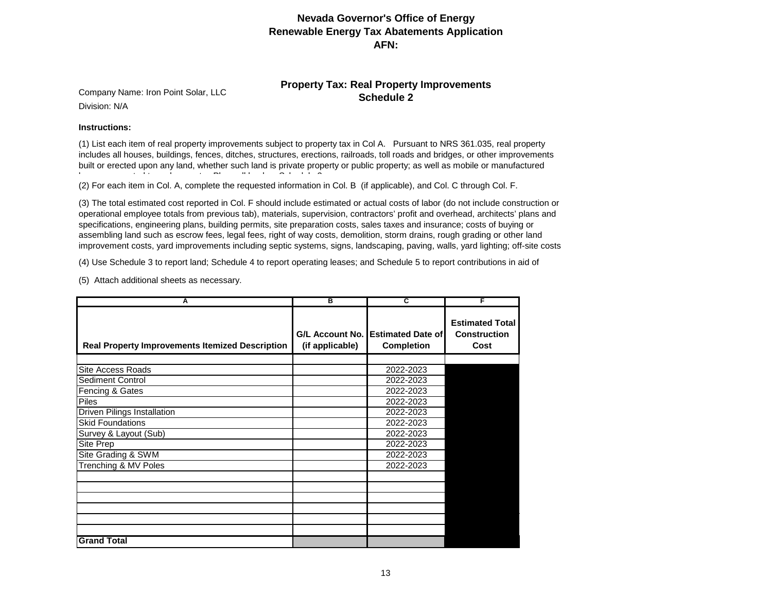## **Property Tax: Real Property Improvements**

**Schedule 2** Company Name: Iron Point Solar, LLC Division: N/A

#### **Instructions:**

(1) List each item of real property improvements subject to property tax in Col A. Pursuant to NRS 361.035, real property includes all houses, buildings, fences, ditches, structures, erections, railroads, toll roads and bridges, or other improvements built or erected upon any land, whether such land is private property or public property; as well as mobile or manufactured م ال اللہ كا اللہ عليه ال

(2) For each item in Col. A, complete the requested information in Col. B (if applicable), and Col. C through Col. F.

(3) The total estimated cost reported in Col. F should include estimated or actual costs of labor (do not include construction or operational employee totals from previous tab), materials, supervision, contractors' profit and overhead, architects' plans and specifications, engineering plans, building permits, site preparation costs, sales taxes and insurance; costs of buying or assembling land such as escrow fees, legal fees, right of way costs, demolition, storm drains, rough grading or other land improvement costs, yard improvements including septic systems, signs, landscaping, paving, walls, yard lighting; off-site costs

(4) Use Schedule 3 to report land; Schedule 4 to report operating leases; and Schedule 5 to report contributions in aid of

(5) Attach additional sheets as necessary.

| А                                                      | в               | C                                                      |                                                       |
|--------------------------------------------------------|-----------------|--------------------------------------------------------|-------------------------------------------------------|
| <b>Real Property Improvements Itemized Description</b> | (if applicable) | G/L Account No. Estimated Date of<br><b>Completion</b> | <b>Estimated Total</b><br><b>Construction</b><br>Cost |
|                                                        |                 |                                                        |                                                       |
| <b>Site Access Roads</b>                               |                 | 2022-2023                                              |                                                       |
| <b>Sediment Control</b>                                |                 | 2022-2023                                              |                                                       |
| Fencing & Gates                                        |                 | 2022-2023                                              |                                                       |
| <b>Piles</b>                                           |                 | 2022-2023                                              |                                                       |
| <b>Driven Pilings Installation</b>                     |                 | 2022-2023                                              |                                                       |
| <b>Skid Foundations</b>                                |                 | 2022-2023                                              |                                                       |
| Survey & Layout (Sub)                                  |                 | 2022-2023                                              |                                                       |
| Site Prep                                              |                 | 2022-2023                                              |                                                       |
| Site Grading & SWM                                     |                 | 2022-2023                                              |                                                       |
| Trenching & MV Poles                                   |                 | 2022-2023                                              |                                                       |
|                                                        |                 |                                                        |                                                       |
|                                                        |                 |                                                        |                                                       |
|                                                        |                 |                                                        |                                                       |
|                                                        |                 |                                                        |                                                       |
|                                                        |                 |                                                        |                                                       |
| <b>Grand Total</b>                                     |                 |                                                        |                                                       |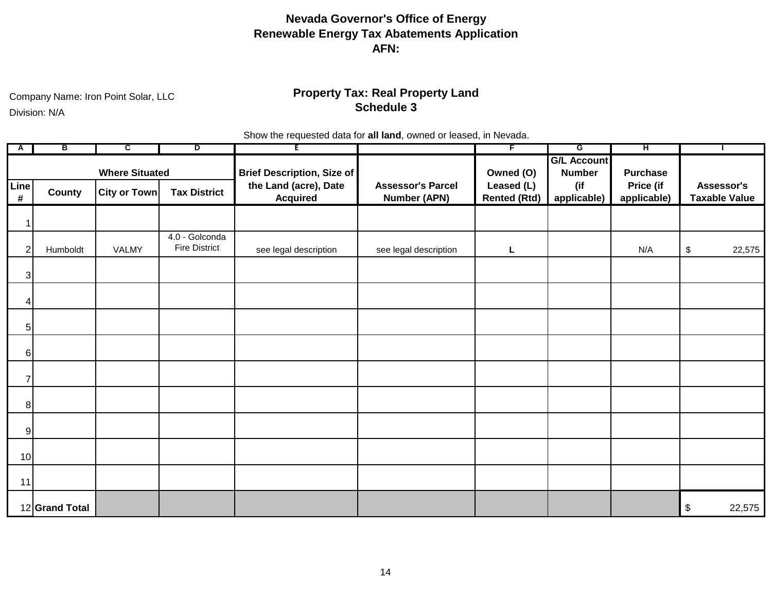Company Name: Iron Point Solar, LLC

Division: N/A

## **Property Tax: Real Property Land Schedule 3**

Show the requested data for **all land**, owned or leased, in Nevada.

| A              | в              | C.                    | ъ                                      | E                                        |                                                 | F                                 | G                                   | ਸਾ                       |                                      |
|----------------|----------------|-----------------------|----------------------------------------|------------------------------------------|-------------------------------------------------|-----------------------------------|-------------------------------------|--------------------------|--------------------------------------|
|                |                | <b>Where Situated</b> |                                        | <b>Brief Description, Size of</b>        |                                                 | Owned (O)                         | <b>G/L Account</b><br><b>Number</b> | <b>Purchase</b>          |                                      |
| Line<br>$\#$   | County         | <b>City or Town</b>   | <b>Tax District</b>                    | the Land (acre), Date<br><b>Acquired</b> | <b>Assessor's Parcel</b><br><b>Number (APN)</b> | Leased (L)<br><b>Rented (Rtd)</b> | (if<br>applicable)                  | Price (if<br>applicable) | Assessor's<br><b>Taxable Value</b>   |
| 1              |                |                       |                                        |                                          |                                                 |                                   |                                     |                          |                                      |
| $\overline{2}$ | Humboldt       | VALMY                 | 4.0 - Golconda<br><b>Fire District</b> | see legal description                    | see legal description                           | Г                                 |                                     | N/A                      | $\boldsymbol{\mathsf{\$}}$<br>22,575 |
| $\overline{3}$ |                |                       |                                        |                                          |                                                 |                                   |                                     |                          |                                      |
| 4              |                |                       |                                        |                                          |                                                 |                                   |                                     |                          |                                      |
| $5\vert$       |                |                       |                                        |                                          |                                                 |                                   |                                     |                          |                                      |
| 6              |                |                       |                                        |                                          |                                                 |                                   |                                     |                          |                                      |
| 7              |                |                       |                                        |                                          |                                                 |                                   |                                     |                          |                                      |
| 8 <sup>1</sup> |                |                       |                                        |                                          |                                                 |                                   |                                     |                          |                                      |
| $\overline{9}$ |                |                       |                                        |                                          |                                                 |                                   |                                     |                          |                                      |
| 10             |                |                       |                                        |                                          |                                                 |                                   |                                     |                          |                                      |
| 11             |                |                       |                                        |                                          |                                                 |                                   |                                     |                          |                                      |
|                | 12 Grand Total |                       |                                        |                                          |                                                 |                                   |                                     |                          | \$<br>22,575                         |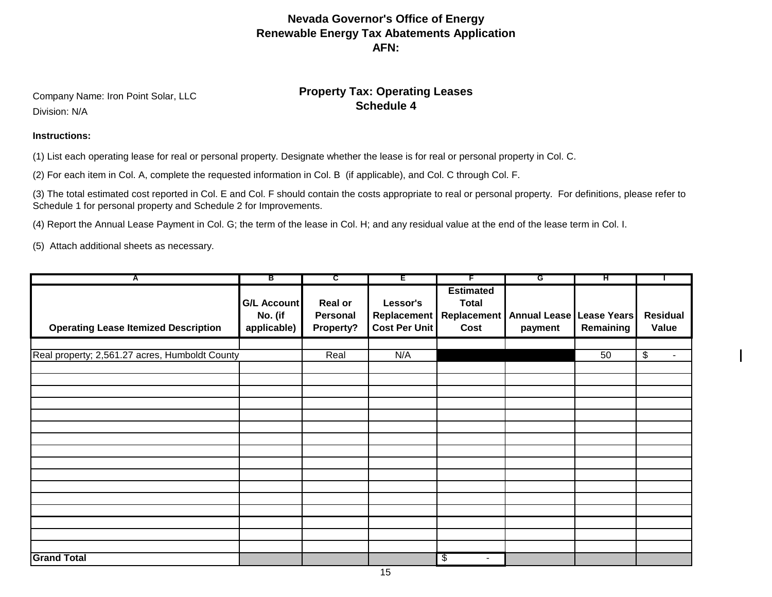**Schedule 4** Company Name: Iron Point Solar, LLC **Schedule 4 Schedule 4** Company Name: Line Metal Schedule 4 Division: N/A

# **Property Tax: Operating Leases**

#### **Instructions:**

(1) List each operating lease for real or personal property. Designate whether the lease is for real or personal property in Col. C.

(2) For each item in Col. A, complete the requested information in Col. B (if applicable), and Col. C through Col. F.

(3) The total estimated cost reported in Col. E and Col. F should contain the costs appropriate to real or personal property. For definitions, please refer to Schedule 1 for personal property and Schedule 2 for Improvements.

(4) Report the Annual Lease Payment in Col. G; the term of the lease in Col. H; and any residual value at the end of the lease term in Col. I.

(5) Attach additional sheets as necessary.

| A                                              | в                                            | ट                                       | Έ                                | F                                                                   | G                                   | ਸ         |                          |
|------------------------------------------------|----------------------------------------------|-----------------------------------------|----------------------------------|---------------------------------------------------------------------|-------------------------------------|-----------|--------------------------|
| <b>Operating Lease Itemized Description</b>    | <b>G/L Account</b><br>No. (if<br>applicable) | <b>Real or</b><br>Personal<br>Property? | Lessor's<br><b>Cost Per Unit</b> | <b>Estimated</b><br><b>Total</b><br>Replacement Replacement<br>Cost | Annual Lease Lease Years<br>payment | Remaining | <b>Residual</b><br>Value |
|                                                |                                              |                                         |                                  |                                                                     |                                     |           |                          |
| Real property; 2,561.27 acres, Humboldt County |                                              | Real                                    | N/A                              |                                                                     |                                     | 50        | \$<br>$\blacksquare$     |
|                                                |                                              |                                         |                                  |                                                                     |                                     |           |                          |
|                                                |                                              |                                         |                                  |                                                                     |                                     |           |                          |
|                                                |                                              |                                         |                                  |                                                                     |                                     |           |                          |
|                                                |                                              |                                         |                                  |                                                                     |                                     |           |                          |
|                                                |                                              |                                         |                                  |                                                                     |                                     |           |                          |
|                                                |                                              |                                         |                                  |                                                                     |                                     |           |                          |
|                                                |                                              |                                         |                                  |                                                                     |                                     |           |                          |
|                                                |                                              |                                         |                                  |                                                                     |                                     |           |                          |
|                                                |                                              |                                         |                                  |                                                                     |                                     |           |                          |
|                                                |                                              |                                         |                                  |                                                                     |                                     |           |                          |
|                                                |                                              |                                         |                                  |                                                                     |                                     |           |                          |
|                                                |                                              |                                         |                                  |                                                                     |                                     |           |                          |
|                                                |                                              |                                         |                                  |                                                                     |                                     |           |                          |
|                                                |                                              |                                         |                                  |                                                                     |                                     |           |                          |
|                                                |                                              |                                         |                                  |                                                                     |                                     |           |                          |
|                                                |                                              |                                         |                                  |                                                                     |                                     |           |                          |
| <b>Grand Total</b>                             |                                              |                                         |                                  | $\boldsymbol{\mathsf{\$}}$<br>$\overline{\phantom{0}}$              |                                     |           |                          |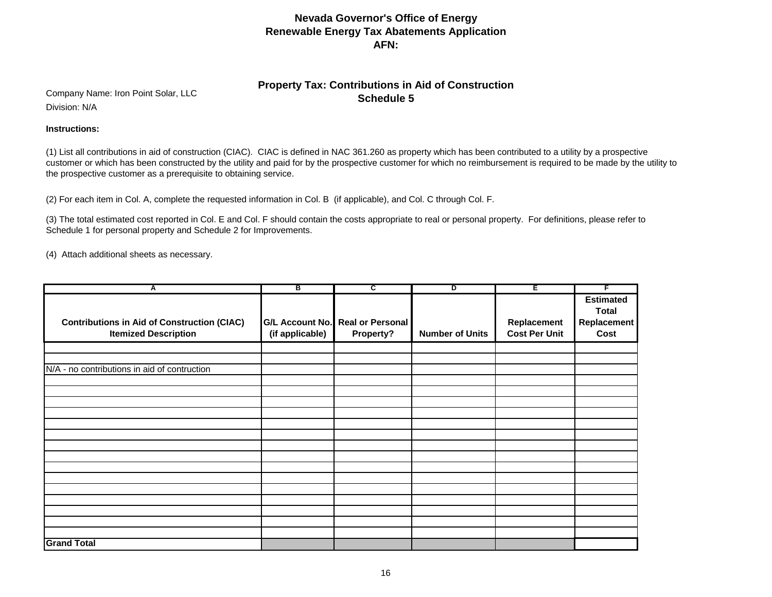## **Property Tax: Contributions in Aid of Construction Schedule 5** Company Name: Iron Point Solar, LLC

Division: N/A

#### **Instructions:**

(1) List all contributions in aid of construction (CIAC). CIAC is defined in NAC 361.260 as property which has been contributed to a utility by a prospective customer or which has been constructed by the utility and paid for by the prospective customer for which no reimbursement is required to be made by the utility to the prospective customer as a prerequisite to obtaining service.

(2) For each item in Col. A, complete the requested information in Col. B (if applicable), and Col. C through Col. F.

(3) The total estimated cost reported in Col. E and Col. F should contain the costs appropriate to real or personal property. For definitions, please refer to Schedule 1 for personal property and Schedule 2 for Improvements.

(4) Attach additional sheets as necessary.

| A                                                                                 | в                                         | c                                    | ъ                      | Ε                                   | F                                                       |
|-----------------------------------------------------------------------------------|-------------------------------------------|--------------------------------------|------------------------|-------------------------------------|---------------------------------------------------------|
| <b>Contributions in Aid of Construction (CIAC)</b><br><b>Itemized Description</b> | <b>G/L Account No.</b><br>(if applicable) | <b>Real or Personal</b><br>Property? | <b>Number of Units</b> | Replacement<br><b>Cost Per Unit</b> | <b>Estimated</b><br><b>Total</b><br>Replacement<br>Cost |
|                                                                                   |                                           |                                      |                        |                                     |                                                         |
| N/A - no contributions in aid of contruction                                      |                                           |                                      |                        |                                     |                                                         |
|                                                                                   |                                           |                                      |                        |                                     |                                                         |
|                                                                                   |                                           |                                      |                        |                                     |                                                         |
|                                                                                   |                                           |                                      |                        |                                     |                                                         |
|                                                                                   |                                           |                                      |                        |                                     |                                                         |
|                                                                                   |                                           |                                      |                        |                                     |                                                         |
|                                                                                   |                                           |                                      |                        |                                     |                                                         |
|                                                                                   |                                           |                                      |                        |                                     |                                                         |
|                                                                                   |                                           |                                      |                        |                                     |                                                         |
|                                                                                   |                                           |                                      |                        |                                     |                                                         |
|                                                                                   |                                           |                                      |                        |                                     |                                                         |
|                                                                                   |                                           |                                      |                        |                                     |                                                         |
|                                                                                   |                                           |                                      |                        |                                     |                                                         |
| <b>Grand Total</b>                                                                |                                           |                                      |                        |                                     |                                                         |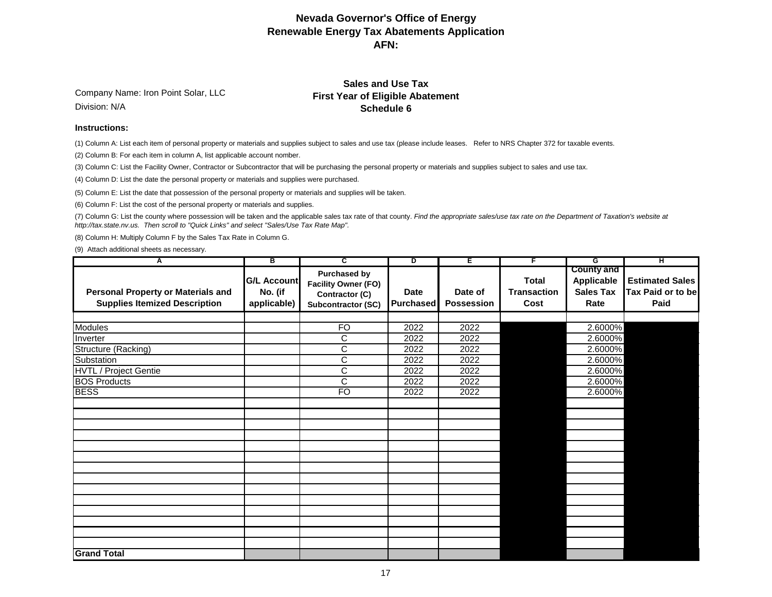Company Name: Iron Point Solar, LLC Division: N/A

### **Sales and Use Tax First Year of Eligible Abatement Schedule 6**

#### **Instructions:**

(1) Column A: List each item of personal property or materials and supplies subject to sales and use tax (please include leases. Refer to NRS Chapter 372 for taxable events.

(2) Column B: For each item in column A, list applicable account nomber.

(3) Column C: List the Facility Owner, Contractor or Subcontractor that will be purchasing the personal property or materials and supplies subject to sales and use tax.

(4) Column D: List the date the personal property or materials and supplies were purchased.

(5) Column E: List the date that possession of the personal property or materials and supplies will be taken.

(6) Column F: List the cost of the personal property or materials and supplies.

(7) Column G: List the county where possession will be taken and the applicable sales tax rate of that county. *Find the appropriate sales/use tax rate on the Department of Taxation's website at http://tax.state.nv.us. Then scroll to "Quick Links" and select "Sales/Use Tax Rate Map".*

(8) Column H: Multiply Column F by the Sales Tax Rate in Column G.

(9) Attach additional sheets as necessary.

| A                                                                                 | в                                            | $\overline{\mathsf{c}}$                                                                   | ъ                               | Έ                            | F                                          | G                                                                  | ਸ                                                   |
|-----------------------------------------------------------------------------------|----------------------------------------------|-------------------------------------------------------------------------------------------|---------------------------------|------------------------------|--------------------------------------------|--------------------------------------------------------------------|-----------------------------------------------------|
| <b>Personal Property or Materials and</b><br><b>Supplies Itemized Description</b> | <b>G/L Account</b><br>No. (if<br>applicable) | <b>Purchased by</b><br><b>Facility Owner (FO)</b><br>Contractor (C)<br>Subcontractor (SC) | <b>Date</b><br><b>Purchased</b> | Date of<br><b>Possession</b> | <b>Total</b><br><b>Transaction</b><br>Cost | <b>County and</b><br><b>Applicable</b><br><b>Sales Tax</b><br>Rate | <b>Estimated Sales</b><br>Tax Paid or to be<br>Paid |
|                                                                                   |                                              |                                                                                           |                                 |                              |                                            |                                                                    |                                                     |
| <b>Modules</b>                                                                    |                                              | <b>FO</b>                                                                                 | 2022                            | 2022                         |                                            | 2.6000%                                                            |                                                     |
| Inverter                                                                          |                                              | C                                                                                         | 2022                            | 2022                         |                                            | 2.6000%                                                            |                                                     |
| Structure (Racking)                                                               |                                              | C                                                                                         | 2022                            | 2022                         |                                            | 2.6000%                                                            |                                                     |
| Substation                                                                        |                                              | C                                                                                         | 2022                            | 2022                         |                                            | 2.6000%                                                            |                                                     |
| HVTL / Project Gentie                                                             |                                              | $\overline{\text{C}}$                                                                     | 2022                            | 2022                         |                                            | 2.6000%                                                            |                                                     |
| <b>BOS Products</b>                                                               |                                              | $\overline{\text{c}}$                                                                     | 2022                            | 2022                         |                                            | 2.6000%                                                            |                                                     |
| <b>BESS</b>                                                                       |                                              | F <sub>O</sub>                                                                            | 2022                            | 2022                         |                                            | 2.6000%                                                            |                                                     |
|                                                                                   |                                              |                                                                                           |                                 |                              |                                            |                                                                    |                                                     |
| <b>Grand Total</b>                                                                |                                              |                                                                                           |                                 |                              |                                            |                                                                    |                                                     |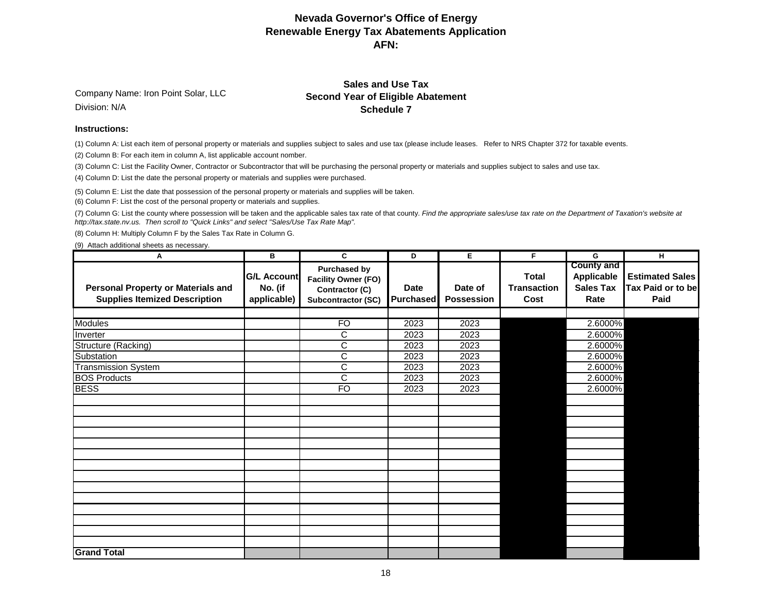Company Name: Iron Point Solar, LLC Division: N/A

### **Sales and Use Tax Second Year of Eligible Abatement Schedule 7**

#### **Instructions:**

(1) Column A: List each item of personal property or materials and supplies subject to sales and use tax (please include leases. Refer to NRS Chapter 372 for taxable events.

(2) Column B: For each item in column A, list applicable account nomber.

(3) Column C: List the Facility Owner, Contractor or Subcontractor that will be purchasing the personal property or materials and supplies subject to sales and use tax.

(4) Column D: List the date the personal property or materials and supplies were purchased.

(5) Column E: List the date that possession of the personal property or materials and supplies will be taken.

(6) Column F: List the cost of the personal property or materials and supplies.

(7) Column G: List the county where possession will be taken and the applicable sales tax rate of that county. *Find the appropriate sales/use tax rate on the Department of Taxation's website at http://tax.state.nv.us. Then scroll to "Quick Links" and select "Sales/Use Tax Rate Map".*

(8) Column H: Multiply Column F by the Sales Tax Rate in Column G.

(9) Attach additional sheets as necessary.

| А                                                                                 | В                                            | C                                                                                         | D                               | E.                    | F.                                         | G                                                                  | н                                                          |
|-----------------------------------------------------------------------------------|----------------------------------------------|-------------------------------------------------------------------------------------------|---------------------------------|-----------------------|--------------------------------------------|--------------------------------------------------------------------|------------------------------------------------------------|
| <b>Personal Property or Materials and</b><br><b>Supplies Itemized Description</b> | <b>G/L Account</b><br>No. (if<br>applicable) | <b>Purchased by</b><br><b>Facility Owner (FO)</b><br>Contractor (C)<br>Subcontractor (SC) | <b>Date</b><br><b>Purchased</b> | Date of<br>Possession | <b>Total</b><br><b>Transaction</b><br>Cost | <b>County and</b><br><b>Applicable</b><br><b>Sales Tax</b><br>Rate | <b>Estimated Sales</b><br><b>Tax Paid or to be</b><br>Paid |
|                                                                                   |                                              |                                                                                           |                                 |                       |                                            |                                                                    |                                                            |
| <b>Modules</b>                                                                    |                                              | <b>FO</b>                                                                                 | 2023                            | 2023                  |                                            | 2.6000%                                                            |                                                            |
| Inverter                                                                          |                                              | C                                                                                         | 2023                            | 2023                  |                                            | 2.6000%                                                            |                                                            |
| Structure (Racking)                                                               |                                              | $\overline{\text{C}}$                                                                     | 2023                            | 2023                  |                                            | 2.6000%                                                            |                                                            |
| Substation                                                                        |                                              | C                                                                                         | 2023                            | 2023                  |                                            | 2.6000%                                                            |                                                            |
| <b>Transmission System</b>                                                        |                                              | $\overline{\text{C}}$                                                                     | 2023                            | 2023                  |                                            | 2.6000%                                                            |                                                            |
| <b>BOS Products</b>                                                               |                                              | $\overline{\text{C}}$                                                                     | 2023                            | 2023                  |                                            | 2.6000%                                                            |                                                            |
| <b>BESS</b>                                                                       |                                              | $\overline{FO}$                                                                           | 2023                            | 2023                  |                                            | 2.6000%                                                            |                                                            |
|                                                                                   |                                              |                                                                                           |                                 |                       |                                            |                                                                    |                                                            |
|                                                                                   |                                              |                                                                                           |                                 |                       |                                            |                                                                    |                                                            |
|                                                                                   |                                              |                                                                                           |                                 |                       |                                            |                                                                    |                                                            |
|                                                                                   |                                              |                                                                                           |                                 |                       |                                            |                                                                    |                                                            |
|                                                                                   |                                              |                                                                                           |                                 |                       |                                            |                                                                    |                                                            |
|                                                                                   |                                              |                                                                                           |                                 |                       |                                            |                                                                    |                                                            |
|                                                                                   |                                              |                                                                                           |                                 |                       |                                            |                                                                    |                                                            |
|                                                                                   |                                              |                                                                                           |                                 |                       |                                            |                                                                    |                                                            |
|                                                                                   |                                              |                                                                                           |                                 |                       |                                            |                                                                    |                                                            |
|                                                                                   |                                              |                                                                                           |                                 |                       |                                            |                                                                    |                                                            |
|                                                                                   |                                              |                                                                                           |                                 |                       |                                            |                                                                    |                                                            |
|                                                                                   |                                              |                                                                                           |                                 |                       |                                            |                                                                    |                                                            |
| <b>Grand Total</b>                                                                |                                              |                                                                                           |                                 |                       |                                            |                                                                    |                                                            |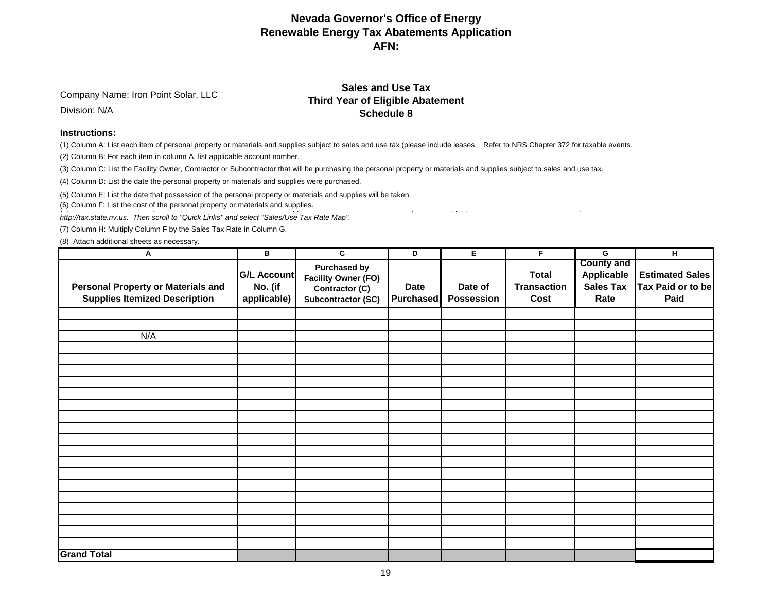Company Name: Iron Point Solar, LLC

Division: N/A

#### **Sales and Use Tax Third Year of Eligible Abatement Schedule 8**

#### **Instructions:**

(1) Column A: List each item of personal property or materials and supplies subject to sales and use tax (please include leases. Refer to NRS Chapter 372 for taxable events.

(2) Column B: For each item in column A, list applicable account nomber.

(3) Column C: List the Facility Owner, Contractor or Subcontractor that will be purchasing the personal property or materials and supplies subject to sales and use tax.

(4) Column D: List the date the personal property or materials and supplies were purchased.

(5) Column E: List the date that possession of the personal property or materials and supplies will be taken.

(6) Column F: List the cost of the personal property or materials and supplies.

*http://tax.state.nv.us. Then scroll to "Quick Links" and select "Sales/Use Tax Rate Map".*

(7) Column H: Multiply Column F by the Sales Tax Rate in Column G.

(8) Attach additional sheets as necessary.

| Α                                                                                 | $\, {\bf B} \,$                              | C                                                                                         | D                               | E.                    | F.                                         | G                                                           | н                                                   |
|-----------------------------------------------------------------------------------|----------------------------------------------|-------------------------------------------------------------------------------------------|---------------------------------|-----------------------|--------------------------------------------|-------------------------------------------------------------|-----------------------------------------------------|
| <b>Personal Property or Materials and</b><br><b>Supplies Itemized Description</b> | <b>G/L Account</b><br>No. (if<br>applicable) | <b>Purchased by</b><br><b>Facility Owner (FO)</b><br>Contractor (C)<br>Subcontractor (SC) | <b>Date</b><br><b>Purchased</b> | Date of<br>Possession | <b>Total</b><br><b>Transaction</b><br>Cost | <b>County and</b><br>Applicable<br><b>Sales Tax</b><br>Rate | <b>Estimated Sales</b><br>Tax Paid or to be<br>Paid |
|                                                                                   |                                              |                                                                                           |                                 |                       |                                            |                                                             |                                                     |
|                                                                                   |                                              |                                                                                           |                                 |                       |                                            |                                                             |                                                     |
| N/A                                                                               |                                              |                                                                                           |                                 |                       |                                            |                                                             |                                                     |
|                                                                                   |                                              |                                                                                           |                                 |                       |                                            |                                                             |                                                     |
|                                                                                   |                                              |                                                                                           |                                 |                       |                                            |                                                             |                                                     |
|                                                                                   |                                              |                                                                                           |                                 |                       |                                            |                                                             |                                                     |
|                                                                                   |                                              |                                                                                           |                                 |                       |                                            |                                                             |                                                     |
|                                                                                   |                                              |                                                                                           |                                 |                       |                                            |                                                             |                                                     |
|                                                                                   |                                              |                                                                                           |                                 |                       |                                            |                                                             |                                                     |
|                                                                                   |                                              |                                                                                           |                                 |                       |                                            |                                                             |                                                     |
|                                                                                   |                                              |                                                                                           |                                 |                       |                                            |                                                             |                                                     |
|                                                                                   |                                              |                                                                                           |                                 |                       |                                            |                                                             |                                                     |
|                                                                                   |                                              |                                                                                           |                                 |                       |                                            |                                                             |                                                     |
|                                                                                   |                                              |                                                                                           |                                 |                       |                                            |                                                             |                                                     |
|                                                                                   |                                              |                                                                                           |                                 |                       |                                            |                                                             |                                                     |
|                                                                                   |                                              |                                                                                           |                                 |                       |                                            |                                                             |                                                     |
|                                                                                   |                                              |                                                                                           |                                 |                       |                                            |                                                             |                                                     |
|                                                                                   |                                              |                                                                                           |                                 |                       |                                            |                                                             |                                                     |
|                                                                                   |                                              |                                                                                           |                                 |                       |                                            |                                                             |                                                     |
| <b>Grand Total</b>                                                                |                                              |                                                                                           |                                 |                       |                                            |                                                             |                                                     |
|                                                                                   |                                              |                                                                                           |                                 |                       |                                            |                                                             |                                                     |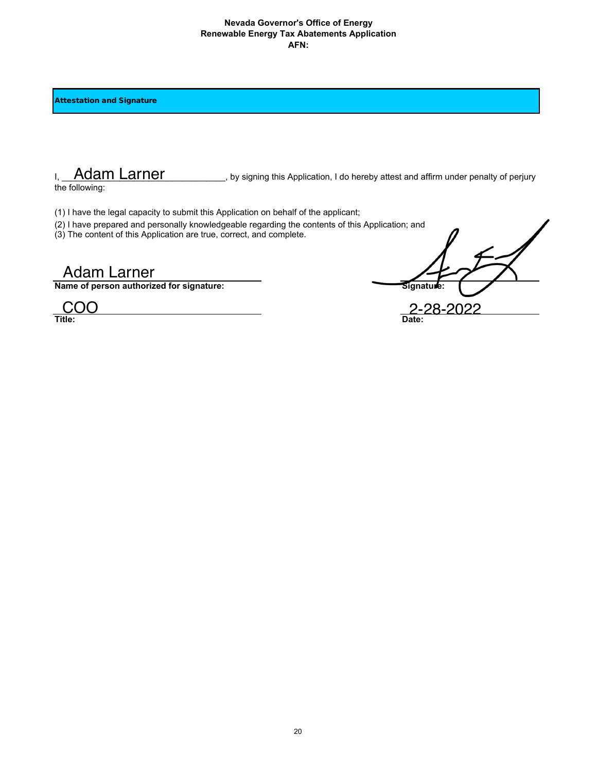Attestation and Signature

I, Adam Larner states by signing this Application, I do hereby attest and affirm under penalty of perjury

the following:

(1) I have the legal capacity to submit this Application on behalf of the applicant;

- (2) I have prepared and personally knowledgeable regarding the contents of this Application; and
- (3) The content of this Application are true, correct, and complete.

**Name of person authorized for signature:** Signature Signature

Title: 2<sup>2</sup> Adam Larner billowing:<br>
2-28-2022<br>
2-28-2022<br>
Adam Larner divided for signature:<br>
2-28-2022<br>
2-28-2022<br>
2-28-2022<br>
2-28-2022<br>
2-28-2022<br>
2-28-2022